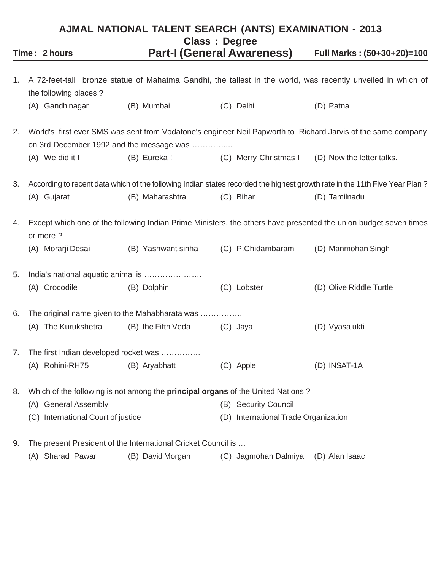# **AJMAL NATIONAL TALENT SEARCH (ANTS) EXAMINATION - 2013 Class : Degree Time : 2 hours Part-I (General Awareness) Full Marks : (50+30+20)=100**

| 1. | the following places?                                                           |                    |                                      | A 72-feet-tall bronze statue of Mahatma Gandhi, the tallest in the world, was recently unveiled in which of                |
|----|---------------------------------------------------------------------------------|--------------------|--------------------------------------|----------------------------------------------------------------------------------------------------------------------------|
|    | (A) Gandhinagar                                                                 | (B) Mumbai         | (C) Delhi                            | (D) Patna                                                                                                                  |
| 2. | on 3rd December 1992 and the message was                                        |                    |                                      | World's first ever SMS was sent from Vodafone's engineer Neil Papworth to Richard Jarvis of the same company               |
|    | (A) We did it !                                                                 | (B) Eureka !       | (C) Merry Christmas !                | (D) Now the letter talks.                                                                                                  |
| 3. |                                                                                 |                    |                                      | According to recent data which of the following Indian states recorded the highest growth rate in the 11th Five Year Plan? |
|    | (A) Gujarat                                                                     | (B) Maharashtra    | (C) Bihar                            | (D) Tamilnadu                                                                                                              |
| 4. | or more?                                                                        |                    |                                      | Except which one of the following Indian Prime Ministers, the others have presented the union budget seven times           |
|    | (A) Morarji Desai                                                               | (B) Yashwant sinha | (C) P.Chidambaram                    | (D) Manmohan Singh                                                                                                         |
| 5. | India's national aquatic animal is                                              |                    |                                      |                                                                                                                            |
|    | (A) Crocodile                                                                   | (B) Dolphin        | (C) Lobster                          | (D) Olive Riddle Turtle                                                                                                    |
| 6. | The original name given to the Mahabharata was                                  |                    |                                      |                                                                                                                            |
|    | (A) The Kurukshetra                                                             | (B) the Fifth Veda | (C) Jaya                             | (D) Vyasa ukti                                                                                                             |
| 7. | The first Indian developed rocket was                                           |                    |                                      |                                                                                                                            |
|    | (A) Rohini-RH75                                                                 | (B) Aryabhatt      | (C) Apple                            | (D) INSAT-1A                                                                                                               |
| 8. | Which of the following is not among the principal organs of the United Nations? |                    |                                      |                                                                                                                            |
|    | (A) General Assembly                                                            |                    | (B) Security Council                 |                                                                                                                            |
|    | (C) International Court of justice                                              |                    | (D) International Trade Organization |                                                                                                                            |
| 9. | The present President of the International Cricket Council is                   |                    |                                      |                                                                                                                            |
|    | (A) Sharad Pawar                                                                | (B) David Morgan   | (C) Jagmohan Dalmiya                 | (D) Alan Isaac                                                                                                             |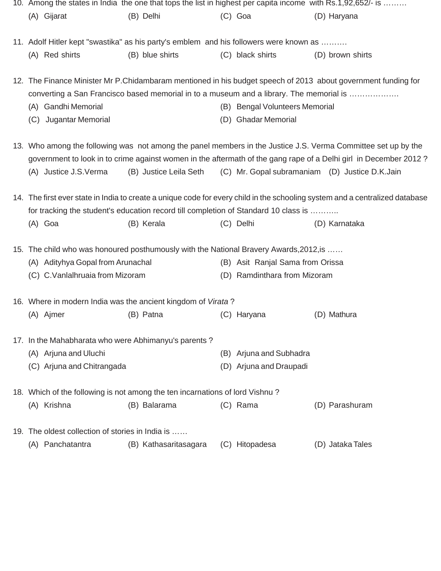| 10. Among the states in India the one that tops the list in highest per capita income with Rs.1,92,652/- is |                        |                                  |                                                                                                                                                                                                                                                                                     |
|-------------------------------------------------------------------------------------------------------------|------------------------|----------------------------------|-------------------------------------------------------------------------------------------------------------------------------------------------------------------------------------------------------------------------------------------------------------------------------------|
| (A) Gijarat                                                                                                 | (B) Delhi              | $(C)$ Goa                        | (D) Haryana                                                                                                                                                                                                                                                                         |
| 11. Adolf Hitler kept "swastika" as his party's emblem and his followers were known as                      |                        |                                  |                                                                                                                                                                                                                                                                                     |
| (A) Red shirts                                                                                              | (B) blue shirts        | (C) black shirts                 | (D) brown shirts                                                                                                                                                                                                                                                                    |
| converting a San Francisco based memorial in to a museum and a library. The memorial is                     |                        |                                  | 12. The Finance Minister Mr P.Chidambaram mentioned in his budget speech of 2013 about government funding for                                                                                                                                                                       |
| (A) Gandhi Memorial                                                                                         |                        | (B) Bengal Volunteers Memorial   |                                                                                                                                                                                                                                                                                     |
| Jugantar Memorial<br>(C)                                                                                    |                        | (D) Ghadar Memorial              |                                                                                                                                                                                                                                                                                     |
| (A) Justice J.S.Verma                                                                                       | (B) Justice Leila Seth |                                  | 13. Who among the following was not among the panel members in the Justice J.S. Verma Committee set up by the<br>government to look in to crime against women in the aftermath of the gang rape of a Delhi girl in December 2012?<br>(C) Mr. Gopal subramaniam (D) Justice D.K.Jain |
| for tracking the student's education record till completion of Standard 10 class is                         |                        |                                  | 14. The first ever state in India to create a unique code for every child in the schooling system and a centralized database                                                                                                                                                        |
| $(A)$ Goa                                                                                                   | (B) Kerala             | (C) Delhi                        | (D) Karnataka                                                                                                                                                                                                                                                                       |
| 15. The child who was honoured posthumously with the National Bravery Awards, 2012, is                      |                        |                                  |                                                                                                                                                                                                                                                                                     |
| (A) Adityhya Gopal from Arunachal                                                                           |                        | (B) Asit Ranjal Sama from Orissa |                                                                                                                                                                                                                                                                                     |
| (C) C.Vanlalhruaia from Mizoram                                                                             |                        | (D) Ramdinthara from Mizoram     |                                                                                                                                                                                                                                                                                     |
| 16. Where in modern India was the ancient kingdom of Virata?                                                |                        |                                  |                                                                                                                                                                                                                                                                                     |
| (A) Ajmer                                                                                                   | (B) Patna              | (C) Haryana                      | (D) Mathura                                                                                                                                                                                                                                                                         |
| 17. In the Mahabharata who were Abhimanyu's parents?                                                        |                        |                                  |                                                                                                                                                                                                                                                                                     |
| (A) Arjuna and Uluchi                                                                                       |                        | (B) Arjuna and Subhadra          |                                                                                                                                                                                                                                                                                     |
| (C) Arjuna and Chitrangada                                                                                  |                        | (D) Arjuna and Draupadi          |                                                                                                                                                                                                                                                                                     |
| 18. Which of the following is not among the ten incarnations of lord Vishnu?                                |                        |                                  |                                                                                                                                                                                                                                                                                     |
| (A) Krishna                                                                                                 | (B) Balarama           | (C) Rama                         | (D) Parashuram                                                                                                                                                                                                                                                                      |
| 19. The oldest collection of stories in India is                                                            |                        |                                  |                                                                                                                                                                                                                                                                                     |
| (A) Panchatantra                                                                                            | (B) Kathasaritasagara  | (C) Hitopadesa                   | (D) Jataka Tales                                                                                                                                                                                                                                                                    |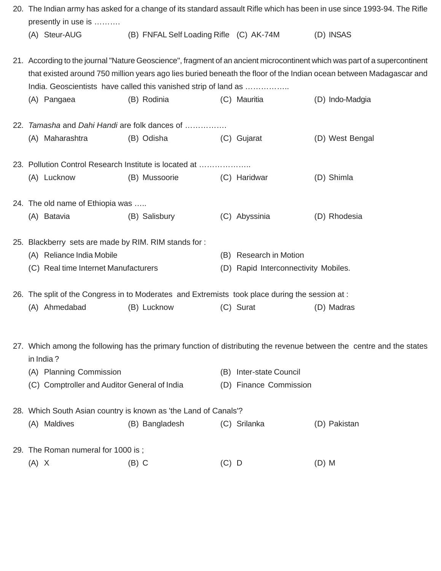| 20. The Indian army has asked for a change of its standard assault Rifle which has been in use since 1993-94. The Rifle<br>presently in use is |                                         |         |                                      |                                                                                                                                                                                                                                                  |
|------------------------------------------------------------------------------------------------------------------------------------------------|-----------------------------------------|---------|--------------------------------------|--------------------------------------------------------------------------------------------------------------------------------------------------------------------------------------------------------------------------------------------------|
| (A) Steur-AUG                                                                                                                                  | (B) FNFAL Self Loading Rifle (C) AK-74M |         |                                      | (D) INSAS                                                                                                                                                                                                                                        |
| India. Geoscientists have called this vanished strip of land as                                                                                |                                         |         |                                      | 21. According to the journal "Nature Geoscience", fragment of an ancient microcontinent which was part of a supercontinent<br>that existed around 750 million years ago lies buried beneath the floor of the Indian ocean between Madagascar and |
| (A) Pangaea                                                                                                                                    | (B) Rodinia                             |         | (C) Mauritia                         | (D) Indo-Madgia                                                                                                                                                                                                                                  |
| 22. Tamasha and Dahi Handi are folk dances of                                                                                                  |                                         |         |                                      |                                                                                                                                                                                                                                                  |
| (A) Maharashtra                                                                                                                                | (B) Odisha                              |         | (C) Gujarat                          | (D) West Bengal                                                                                                                                                                                                                                  |
| 23. Pollution Control Research Institute is located at                                                                                         |                                         |         |                                      |                                                                                                                                                                                                                                                  |
| (A) Lucknow                                                                                                                                    | (B) Mussoorie                           |         | (C) Haridwar                         | (D) Shimla                                                                                                                                                                                                                                       |
| 24. The old name of Ethiopia was                                                                                                               |                                         |         |                                      |                                                                                                                                                                                                                                                  |
| (A) Batavia                                                                                                                                    | (B) Salisbury                           |         | (C) Abyssinia                        | (D) Rhodesia                                                                                                                                                                                                                                     |
| 25. Blackberry sets are made by RIM. RIM stands for:                                                                                           |                                         |         |                                      |                                                                                                                                                                                                                                                  |
| (A) Reliance India Mobile                                                                                                                      |                                         |         | (B) Research in Motion               |                                                                                                                                                                                                                                                  |
| (C) Real time Internet Manufacturers                                                                                                           |                                         |         | (D) Rapid Interconnectivity Mobiles. |                                                                                                                                                                                                                                                  |
| 26. The split of the Congress in to Moderates and Extremists took place during the session at :                                                |                                         |         |                                      |                                                                                                                                                                                                                                                  |
| (A) Ahmedabad                                                                                                                                  | (B) Lucknow                             |         | (C) Surat                            | (D) Madras                                                                                                                                                                                                                                       |
| in India?                                                                                                                                      |                                         |         |                                      | 27. Which among the following has the primary function of distributing the revenue between the centre and the states                                                                                                                             |
| (A) Planning Commission                                                                                                                        |                                         | (B)     | Inter-state Council                  |                                                                                                                                                                                                                                                  |
| (C) Comptroller and Auditor General of India                                                                                                   |                                         |         | (D) Finance Commission               |                                                                                                                                                                                                                                                  |
| 28. Which South Asian country is known as 'the Land of Canals'?                                                                                |                                         |         |                                      |                                                                                                                                                                                                                                                  |
| (A) Maldives                                                                                                                                   | (B) Bangladesh                          |         | (C) Srilanka                         | (D) Pakistan                                                                                                                                                                                                                                     |
| 29. The Roman numeral for 1000 is;                                                                                                             |                                         |         |                                      |                                                                                                                                                                                                                                                  |
| $(A)$ X                                                                                                                                        | $(B)$ C                                 | $(C)$ D |                                      | $(D)$ M                                                                                                                                                                                                                                          |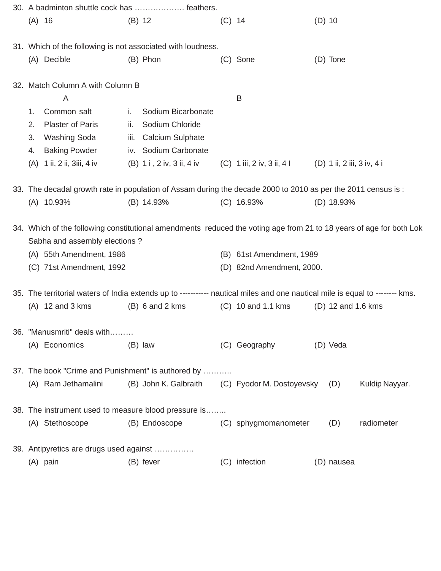|          | 30. A badminton shuttle cock has  feathers.                                                                                                          |      |                                                 |          |                                                       |          |                    |                |
|----------|------------------------------------------------------------------------------------------------------------------------------------------------------|------|-------------------------------------------------|----------|-------------------------------------------------------|----------|--------------------|----------------|
| $(A)$ 16 |                                                                                                                                                      |      | (B) 12                                          | $(C)$ 14 |                                                       | $(D)$ 10 |                    |                |
|          | 31. Which of the following is not associated with loudness.                                                                                          |      |                                                 |          |                                                       |          |                    |                |
|          | (A) Decible                                                                                                                                          |      | (B) Phon                                        |          | (C) Sone                                              |          | (D) Tone           |                |
|          | 32. Match Column A with Column B                                                                                                                     |      |                                                 |          |                                                       |          |                    |                |
|          | A                                                                                                                                                    |      |                                                 |          | B                                                     |          |                    |                |
| 1.       | Common salt                                                                                                                                          | j.   | Sodium Bicarbonate                              |          |                                                       |          |                    |                |
| 2.       | <b>Plaster of Paris</b>                                                                                                                              | ii.  | Sodium Chloride                                 |          |                                                       |          |                    |                |
| 3.       | Washing Soda                                                                                                                                         | iii. | <b>Calcium Sulphate</b>                         |          |                                                       |          |                    |                |
| 4.       | <b>Baking Powder</b>                                                                                                                                 |      | iv. Sodium Carbonate                            |          |                                                       |          |                    |                |
|          | (A) 1 ii, 2 ii, 3 iii, 4 iv                                                                                                                          |      | (B) 1 i , 2 iv, 3 ii, 4 iv                      |          | (C) 1 iii, 2 iv, 3 ii, 4 l (D) 1 ii, 2 iii, 3 iv, 4 i |          |                    |                |
|          | 33. The decadal growth rate in population of Assam during the decade 2000 to 2010 as per the 2011 census is :                                        |      |                                                 |          |                                                       |          |                    |                |
|          | (A) 10.93%                                                                                                                                           |      | (B) 14.93%                                      |          | $(C)$ 16.93%                                          |          | $(D)$ 18.93%       |                |
|          | 34. Which of the following constitutional amendments reduced the voting age from 21 to 18 years of age for both Lok<br>Sabha and assembly elections? |      |                                                 |          |                                                       |          |                    |                |
|          | (A) 55th Amendment, 1986                                                                                                                             |      |                                                 |          | (B) 61st Amendment, 1989                              |          |                    |                |
|          | (C) 71st Amendment, 1992                                                                                                                             |      |                                                 |          | (D) 82nd Amendment, 2000.                             |          |                    |                |
|          | 35. The territorial waters of India extends up to ---------- nautical miles and one nautical mile is equal to -------- kms.                          |      |                                                 |          |                                                       |          |                    |                |
|          | $(A)$ 12 and 3 kms                                                                                                                                   |      | $(B)$ 6 and 2 kms                               |          | (C) 10 and 1.1 kms                                    |          | (D) 12 and 1.6 kms |                |
|          | 36. "Manusmriti" deals with                                                                                                                          |      |                                                 |          |                                                       |          |                    |                |
|          | (A) Economics                                                                                                                                        |      | $(B)$ law                                       |          | (C) Geography                                         |          | (D) Veda           |                |
|          | 37. The book "Crime and Punishment" is authored by                                                                                                   |      |                                                 |          |                                                       |          |                    |                |
|          | (A) Ram Jethamalini                                                                                                                                  |      | (B) John K. Galbraith (C) Fyodor M. Dostoyevsky |          |                                                       |          | (D)                | Kuldip Nayyar. |
|          | 38. The instrument used to measure blood pressure is                                                                                                 |      |                                                 |          |                                                       |          |                    |                |
|          | (A) Stethoscope                                                                                                                                      |      | (B) Endoscope                                   |          | (C) sphygmomanometer                                  |          | (D)                | radiometer     |
|          | 39. Antipyretics are drugs used against                                                                                                              |      |                                                 |          |                                                       |          |                    |                |
|          | (A) pain                                                                                                                                             |      | (B) fever                                       |          | (C) infection                                         |          | (D) nausea         |                |
|          |                                                                                                                                                      |      |                                                 |          |                                                       |          |                    |                |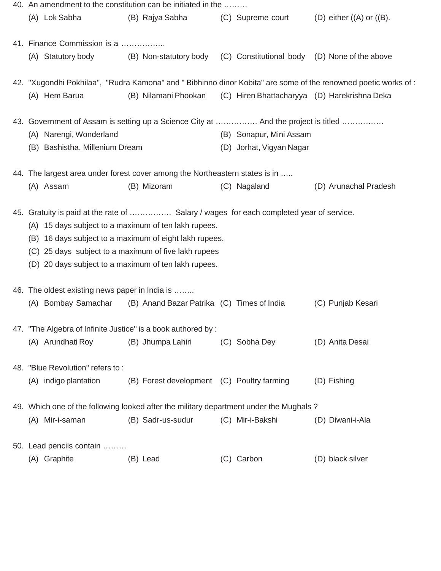|     |                                                | 40. An amendment to the constitution can be initiated in the                            |                          |                                                                                                                |
|-----|------------------------------------------------|-----------------------------------------------------------------------------------------|--------------------------|----------------------------------------------------------------------------------------------------------------|
|     | (A) Lok Sabha                                  | (B) Rajya Sabha                                                                         | (C) Supreme court        | $(D)$ either $((A)$ or $((B))$ .                                                                               |
|     | 41. Finance Commission is a                    |                                                                                         |                          |                                                                                                                |
|     | (A) Statutory body                             | (B) Non-statutory body (C) Constitutional body (D) None of the above                    |                          |                                                                                                                |
|     |                                                |                                                                                         |                          | 42. "Xugondhi Pokhilaa", "Rudra Kamona" and " Bibhinno dinor Kobita" are some of the renowned poetic works of: |
|     | (A) Hem Barua                                  | (B) Nilamani Phookan                                                                    |                          | (C) Hiren Bhattacharyya (D) Harekrishna Deka                                                                   |
|     |                                                | 43. Government of Assam is setting up a Science City at  And the project is titled      |                          |                                                                                                                |
|     | (A) Narengi, Wonderland                        |                                                                                         | (B) Sonapur, Mini Assam  |                                                                                                                |
|     | (B) Bashistha, Millenium Dream                 |                                                                                         | (D) Jorhat, Vigyan Nagar |                                                                                                                |
|     |                                                | 44. The largest area under forest cover among the Northeastern states is in             |                          |                                                                                                                |
|     | (A) Assam                                      | (B) Mizoram                                                                             | (C) Nagaland             | (D) Arunachal Pradesh                                                                                          |
|     |                                                | 45. Gratuity is paid at the rate of  Salary / wages for each completed year of service. |                          |                                                                                                                |
| (A) |                                                | 15 days subject to a maximum of ten lakh rupees.                                        |                          |                                                                                                                |
| (B) |                                                | 16 days subject to a maximum of eight lakh rupees.                                      |                          |                                                                                                                |
|     |                                                | (C) 25 days subject to a maximum of five lakh rupees                                    |                          |                                                                                                                |
|     |                                                | (D) 20 days subject to a maximum of ten lakh rupees.                                    |                          |                                                                                                                |
|     | 46. The oldest existing news paper in India is |                                                                                         |                          |                                                                                                                |
|     |                                                | (A) Bombay Samachar (B) Anand Bazar Patrika (C) Times of India                          |                          | (C) Punjab Kesari                                                                                              |
|     |                                                | 47. "The Algebra of Infinite Justice" is a book authored by :                           |                          |                                                                                                                |
|     | (A) Arundhati Roy                              | (B) Jhumpa Lahiri                                                                       | (C) Sobha Dey            | (D) Anita Desai                                                                                                |
|     | 48. "Blue Revolution" refers to:               |                                                                                         |                          |                                                                                                                |
|     | (A) indigo plantation                          | (B) Forest development (C) Poultry farming                                              |                          | (D) Fishing                                                                                                    |
|     |                                                | 49. Which one of the following looked after the military department under the Mughals?  |                          |                                                                                                                |
|     | (A) Mir-i-saman                                | (B) Sadr-us-sudur                                                                       | (C) Mir-i-Bakshi         | (D) Diwani-i-Ala                                                                                               |
|     | 50. Lead pencils contain                       |                                                                                         |                          |                                                                                                                |
|     | (A) Graphite                                   | (B) Lead                                                                                | (C) Carbon               | (D) black silver                                                                                               |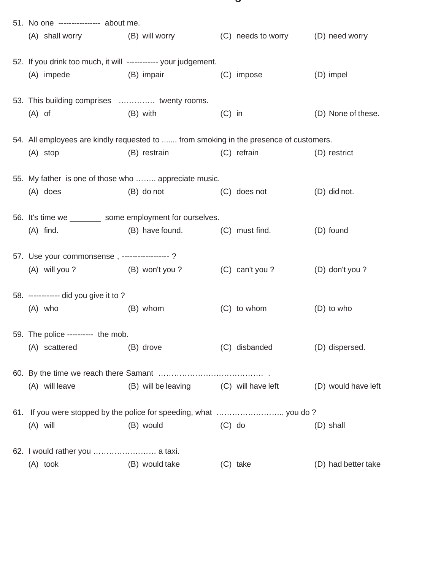| 51. No one --------------- about me.<br>(A) shall worry (B) will worry (C) needs to worry (D) need worry |                                        |          |                  |                     |
|----------------------------------------------------------------------------------------------------------|----------------------------------------|----------|------------------|---------------------|
| 52. If you drink too much, it will ------------ your judgement.<br>(A) impede                            | (B) impair                             |          | (C) impose       | (D) impel           |
| 53. This building comprises  twenty rooms.<br>$(A)$ of                                                   | (B) with                               | $(C)$ in |                  | (D) None of these.  |
| 54. All employees are kindly requested to  from smoking in the presence of customers.                    |                                        |          |                  |                     |
| $(A)$ stop                                                                                               | (B) restrain                           |          | (C) refrain      | (D) restrict        |
| 55. My father is one of those who  appreciate music.<br>$(A)$ does                                       | (B) do not                             |          | (C) does not     | (D) did not.        |
| 56. It's time we _________ some employment for ourselves.                                                |                                        |          |                  |                     |
| $(A)$ find.                                                                                              | (B) have found. (C) must find.         |          |                  | (D) found           |
| 57. Use your commonsense, -----------------?<br>(A) will you ? (B) won't you ?                           |                                        |          | $(C)$ can't you? | (D) don't you?      |
| 58. ------------ did you give it to ?                                                                    |                                        |          |                  |                     |
| (A) who                                                                                                  | (B) whom                               |          | $(C)$ to whom    | $(D)$ to who        |
| 59. The police ---------- the mob.<br>(A) scattered                                                      | (B) drove                              |          | (C) disbanded    | (D) dispersed.      |
|                                                                                                          |                                        |          |                  |                     |
| (A) will leave                                                                                           | (B) will be leaving (C) will have left |          |                  | (D) would have left |
| $(A)$ will                                                                                               | (B) would                              | $(C)$ do |                  | (D) shall           |
|                                                                                                          |                                        |          |                  |                     |
| $(A)$ took                                                                                               | (B) would take                         |          | $(C)$ take       | (D) had better take |

**g**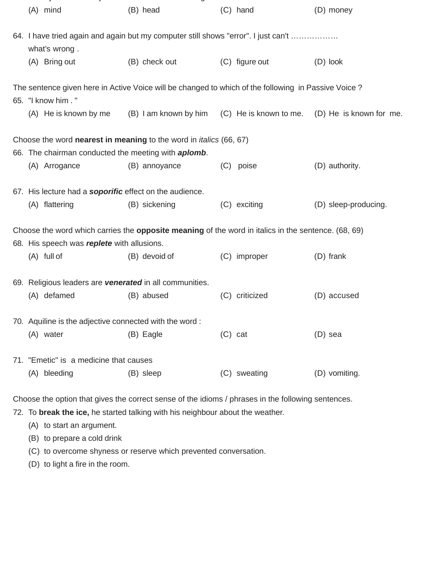| (A) mind                                                    | (B) head                                                                                                   | (C) hand       | (D) money                                                            |
|-------------------------------------------------------------|------------------------------------------------------------------------------------------------------------|----------------|----------------------------------------------------------------------|
| what's wrong.                                               | 64. I have tried again and again but my computer still shows "error". I just can't                         |                |                                                                      |
| (A) Bring out                                               | (B) check out                                                                                              | (C) figure out | (D) look                                                             |
| 65. "I know him . "                                         | The sentence given here in Active Voice will be changed to which of the following in Passive Voice?        |                |                                                                      |
| (A) He is known by me                                       |                                                                                                            |                | (B) I am known by him (C) He is known to me. (D) He is known for me. |
|                                                             | Choose the word <b>nearest in meaning</b> to the word in <i>italics</i> (66, 67)                           |                |                                                                      |
| 66. The chairman conducted the meeting with <b>aplomb</b> . |                                                                                                            |                |                                                                      |
| (A) Arrogance                                               | (B) annoyance                                                                                              | (C) poise      | (D) authority.                                                       |
| 67. His lecture had a soporific effect on the audience.     |                                                                                                            |                |                                                                      |
| (A) flattering                                              | (B) sickening                                                                                              | (C) exciting   | (D) sleep-producing.                                                 |
|                                                             | Choose the word which carries the <b>opposite meaning</b> of the word in italics in the sentence. (68, 69) |                |                                                                      |
| 68. His speech was replete with allusions.                  |                                                                                                            |                |                                                                      |
| $(A)$ full of                                               | (B) devoid of                                                                                              | (C) improper   | $(D)$ frank                                                          |
|                                                             | 69. Religious leaders are venerated in all communities.                                                    |                |                                                                      |
| (A) defamed                                                 | (B) abused                                                                                                 | (C) criticized | (D) accused                                                          |
| 70. Aquiline is the adjective connected with the word:      |                                                                                                            |                |                                                                      |
| (A) water                                                   | (B) Eagle                                                                                                  | $(C)$ cat      | (D) sea                                                              |
| 71. "Emetic" is a medicine that causes                      |                                                                                                            |                |                                                                      |
| (A) bleeding                                                | (B) sleep                                                                                                  | (C) sweating   | (D) vomiting.                                                        |

Choose the option that gives the correct sense of the idioms / phrases in the following sentences.

72. To **break the ice,** he started talking with his neighbour about the weather.

(A) to start an argument.

(B) to prepare a cold drink

(C) to overcome shyness or reserve which prevented conversation.

(D) to light a fire in the room.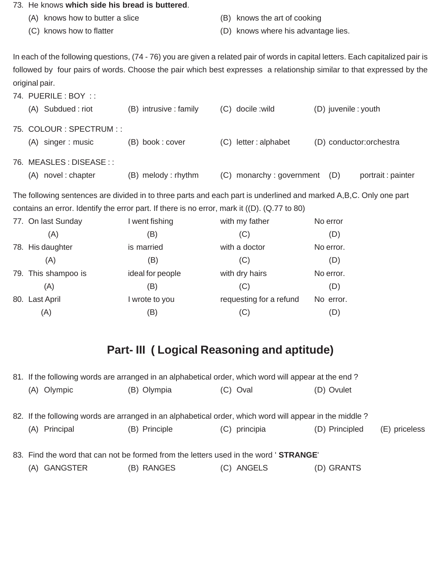#### 73. He knows **which side his bread is buttered**.

- (A) knows how to butter a slice (B) knows the art of cooking
- 
- 
- (C) knows how to flatter (D) knows where his advantage lies.

In each of the following questions, (74 - 76) you are given a related pair of words in capital letters. Each capitalized pair is followed by four pairs of words. Choose the pair which best expresses a relationship similar to that expressed by the original pair.

| 74. PUERILE : BOY : :     |                        |                          |                           |
|---------------------------|------------------------|--------------------------|---------------------------|
| (A) Subdued: riot         | (B) intrusive : family | (C) docile :wild         | (D) juvenile : youth      |
| 75. COLOUR: SPECTRUM::    |                        |                          |                           |
| (A) singer : music        | (B) book: cover        | (C) letter: alphabet     | (D) conductor:orchestra   |
| 76. MEASLES : DISEASE : : |                        |                          |                           |
| novel: chapter<br>(A)     | (B) melody: rhythm     | (C) monarchy: government | portrait : painter<br>(D) |

The following sentences are divided in to three parts and each part is underlined and marked A,B,C. Only one part contains an error. Identify the error part. If there is no error, mark it ((D). (Q.77 to 80)

| No error  |
|-----------|
| (D)       |
| No error. |
| (D)       |
| No error. |
| (D)       |
| No error. |
| (D)       |
|           |

# **Part- III ( Logical Reasoning and aptitude)**

| 81. If the following words are arranged in an alphabetical order, which word will appear at the end?    |               |                  |                                 |  |  |
|---------------------------------------------------------------------------------------------------------|---------------|------------------|---------------------------------|--|--|
| (A) Olympic                                                                                             | (B) Olympia   | (C) Oval         | (D) Ovulet                      |  |  |
|                                                                                                         |               |                  |                                 |  |  |
| 82. If the following words are arranged in an alphabetical order, which word will appear in the middle? |               |                  |                                 |  |  |
| Principal<br>(A)                                                                                        | (B) Principle | principia<br>(C) | (D) Principled<br>(E) priceless |  |  |
|                                                                                                         |               |                  |                                 |  |  |
| 83. Find the word that can not be formed from the letters used in the word 'STRANGE'                    |               |                  |                                 |  |  |
| (A) GANGSTER                                                                                            | (B) RANGES    | (C) ANGELS       | (D) GRANTS                      |  |  |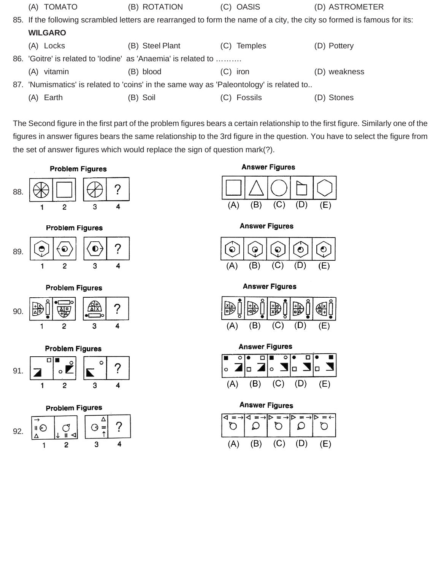| <b>TOMATO</b><br>(A)                                                                    | (B) ROTATION    | (C) OASIS            | (D) ASTROMETER                                                                                                          |
|-----------------------------------------------------------------------------------------|-----------------|----------------------|-------------------------------------------------------------------------------------------------------------------------|
|                                                                                         |                 |                      | 85. If the following scrambled letters are rearranged to form the name of a city, the city so formed is famous for its: |
| <b>WILGARO</b>                                                                          |                 |                      |                                                                                                                         |
| (A) Locks                                                                               | (B) Steel Plant | <b>Temples</b><br>C) | (D) Pottery                                                                                                             |
| 86. 'Goitre' is related to 'lodine' as 'Anaemia' is related to                          |                 |                      |                                                                                                                         |
| (A)<br>vitamin                                                                          | (B) blood       | (C) iron             | weakness<br>(D)                                                                                                         |
| 87. 'Numismatics' is related to 'coins' in the same way as 'Paleontology' is related to |                 |                      |                                                                                                                         |
| Earth<br>(A)                                                                            | (B) Soil        | Fossils              | (D) Stones                                                                                                              |

The Second figure in the first part of the problem figures bears a certain relationship to the first figure. Similarly one of the figures in answer figures bears the same relationship to the 3rd figure in the question. You have to select the figure from the set of answer figures which would replace the sign of question mark(?).





**Problem Figures** 









**Answer Figures** 







**Answer Figures** 



**Answer Figures** 



### **Answer Figures**

| (A) | (B) | $(C)$ $(D)$ | (L) |
|-----|-----|-------------|-----|